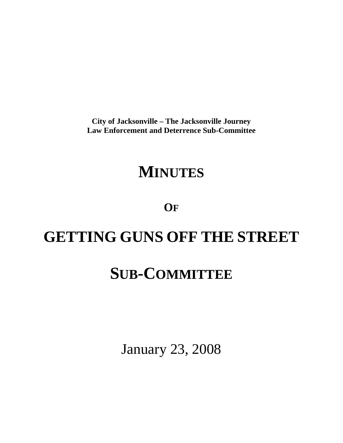**City of Jacksonville – The Jacksonville Journey Law Enforcement and Deterrence Sub-Committee** 

# **MINUTES**

**OF**

# **GETTING GUNS OFF THE STREET**

# **SUB-COMMITTEE**

January 23, 2008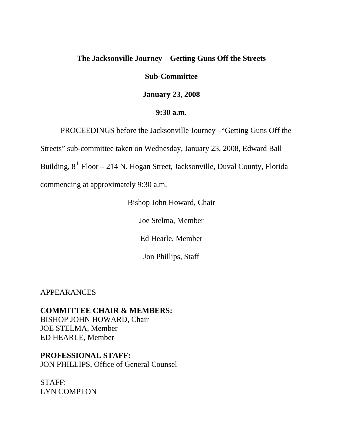## **The Jacksonville Journey – Getting Guns Off the Streets**

### **Sub-Committee**

**January 23, 2008** 

## **9:30 a.m.**

PROCEEDINGS before the Jacksonville Journey –"Getting Guns Off the

Streets" sub-committee taken on Wednesday, January 23, 2008, Edward Ball

Building,  $8<sup>th</sup>$  Floor – 214 N. Hogan Street, Jacksonville, Duval County, Florida

commencing at approximately 9:30 a.m.

Bishop John Howard, Chair

Joe Stelma, Member

Ed Hearle, Member

Jon Phillips, Staff

APPEARANCES

**COMMITTEE CHAIR & MEMBERS:** BISHOP JOHN HOWARD, Chair JOE STELMA, Member ED HEARLE, Member

# **PROFESSIONAL STAFF:**

JON PHILLIPS, Office of General Counsel

STAFF: LYN COMPTON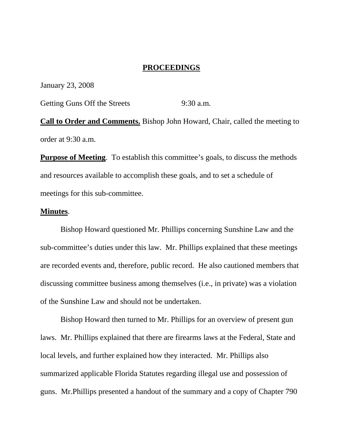### **PROCEEDINGS**

January 23, 2008

Getting Guns Off the Streets 9:30 a.m.

**Call to Order and Comments.** Bishop John Howard, Chair, called the meeting to order at 9:30 a.m.

**Purpose of Meeting**. To establish this committee's goals, to discuss the methods and resources available to accomplish these goals, and to set a schedule of meetings for this sub-committee.

#### **Minutes**.

 Bishop Howard questioned Mr. Phillips concerning Sunshine Law and the sub-committee's duties under this law. Mr. Phillips explained that these meetings are recorded events and, therefore, public record. He also cautioned members that discussing committee business among themselves (i.e., in private) was a violation of the Sunshine Law and should not be undertaken.

 Bishop Howard then turned to Mr. Phillips for an overview of present gun laws. Mr. Phillips explained that there are firearms laws at the Federal, State and local levels, and further explained how they interacted. Mr. Phillips also summarized applicable Florida Statutes regarding illegal use and possession of guns. Mr.Phillips presented a handout of the summary and a copy of Chapter 790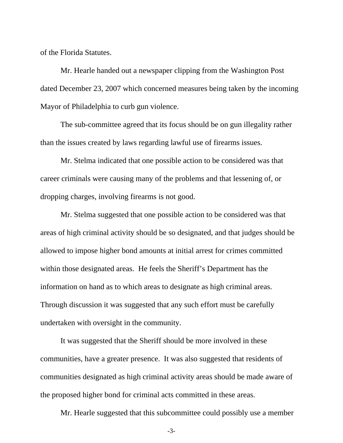of the Florida Statutes.

 Mr. Hearle handed out a newspaper clipping from the Washington Post dated December 23, 2007 which concerned measures being taken by the incoming Mayor of Philadelphia to curb gun violence.

 The sub-committee agreed that its focus should be on gun illegality rather than the issues created by laws regarding lawful use of firearms issues.

 Mr. Stelma indicated that one possible action to be considered was that career criminals were causing many of the problems and that lessening of, or dropping charges, involving firearms is not good.

 Mr. Stelma suggested that one possible action to be considered was that areas of high criminal activity should be so designated, and that judges should be allowed to impose higher bond amounts at initial arrest for crimes committed within those designated areas. He feels the Sheriff's Department has the information on hand as to which areas to designate as high criminal areas. Through discussion it was suggested that any such effort must be carefully undertaken with oversight in the community.

 It was suggested that the Sheriff should be more involved in these communities, have a greater presence. It was also suggested that residents of communities designated as high criminal activity areas should be made aware of the proposed higher bond for criminal acts committed in these areas.

Mr. Hearle suggested that this subcommittee could possibly use a member

-3-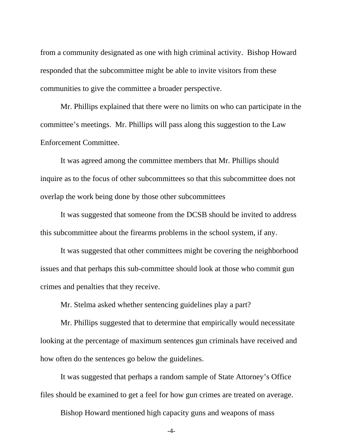from a community designated as one with high criminal activity. Bishop Howard responded that the subcommittee might be able to invite visitors from these communities to give the committee a broader perspective.

 Mr. Phillips explained that there were no limits on who can participate in the committee's meetings. Mr. Phillips will pass along this suggestion to the Law Enforcement Committee.

 It was agreed among the committee members that Mr. Phillips should inquire as to the focus of other subcommittees so that this subcommittee does not overlap the work being done by those other subcommittees

 It was suggested that someone from the DCSB should be invited to address this subcommittee about the firearms problems in the school system, if any.

 It was suggested that other committees might be covering the neighborhood issues and that perhaps this sub-committee should look at those who commit gun crimes and penalties that they receive.

Mr. Stelma asked whether sentencing guidelines play a part?

 Mr. Phillips suggested that to determine that empirically would necessitate looking at the percentage of maximum sentences gun criminals have received and how often do the sentences go below the guidelines.

 It was suggested that perhaps a random sample of State Attorney's Office files should be examined to get a feel for how gun crimes are treated on average.

Bishop Howard mentioned high capacity guns and weapons of mass

-4-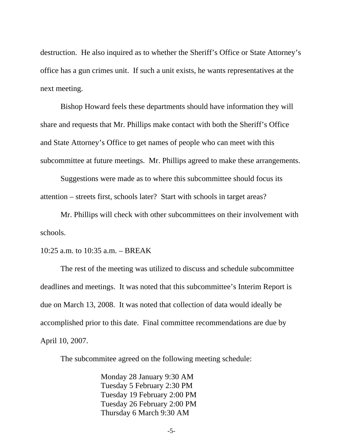destruction. He also inquired as to whether the Sheriff's Office or State Attorney's office has a gun crimes unit. If such a unit exists, he wants representatives at the next meeting.

 Bishop Howard feels these departments should have information they will share and requests that Mr. Phillips make contact with both the Sheriff's Office and State Attorney's Office to get names of people who can meet with this subcommittee at future meetings. Mr. Phillips agreed to make these arrangements.

 Suggestions were made as to where this subcommittee should focus its attention – streets first, schools later? Start with schools in target areas?

 Mr. Phillips will check with other subcommittees on their involvement with schools.

### 10:25 a.m. to 10:35 a.m. – BREAK

 The rest of the meeting was utilized to discuss and schedule subcommittee deadlines and meetings. It was noted that this subcommittee's Interim Report is due on March 13, 2008. It was noted that collection of data would ideally be accomplished prior to this date. Final committee recommendations are due by April 10, 2007.

The subcommitee agreed on the following meeting schedule:

Monday 28 January 9:30 AM Tuesday 5 February 2:30 PM Tuesday 19 February 2:00 PM Tuesday 26 February 2:00 PM Thursday 6 March 9:30 AM